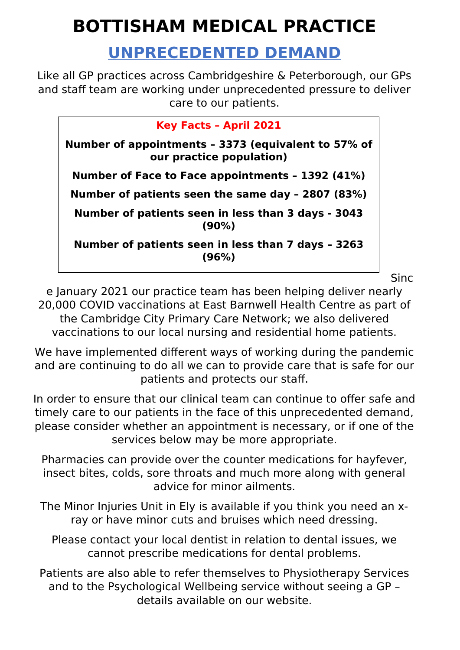## **BOTTISHAM MEDICAL PRACTICE**

## **UNPRECEDENTED DEMAND**

Like all GP practices across Cambridgeshire & Peterborough, our GPs and staff team are working under unprecedented pressure to deliver care to our patients.

| <b>Key Facts - April 2021</b>                                                   |
|---------------------------------------------------------------------------------|
| Number of appointments - 3373 (equivalent to 57% of<br>our practice population) |
| Number of Face to Face appointments - 1392 (41%)                                |
| Number of patients seen the same day - 2807 (83%)                               |
| Number of patients seen in less than 3 days - 3043<br>$(90\%)$                  |
| Number of patients seen in less than 7 days - 3263<br>(96%)                     |
|                                                                                 |

Sinc

e January 2021 our practice team has been helping deliver nearly 20,000 COVID vaccinations at East Barnwell Health Centre as part of the Cambridge City Primary Care Network; we also delivered vaccinations to our local nursing and residential home patients.

We have implemented different ways of working during the pandemic and are continuing to do all we can to provide care that is safe for our patients and protects our staff.

In order to ensure that our clinical team can continue to offer safe and timely care to our patients in the face of this unprecedented demand, please consider whether an appointment is necessary, or if one of the services below may be more appropriate.

Pharmacies can provide over the counter medications for hayfever, insect bites, colds, sore throats and much more along with general advice for minor ailments.

The Minor Injuries Unit in Ely is available if you think you need an xray or have minor cuts and bruises which need dressing.

Please contact your local dentist in relation to dental issues, we cannot prescribe medications for dental problems.

Patients are also able to refer themselves to Physiotherapy Services and to the Psychological Wellbeing service without seeing a GP – details available on our website.